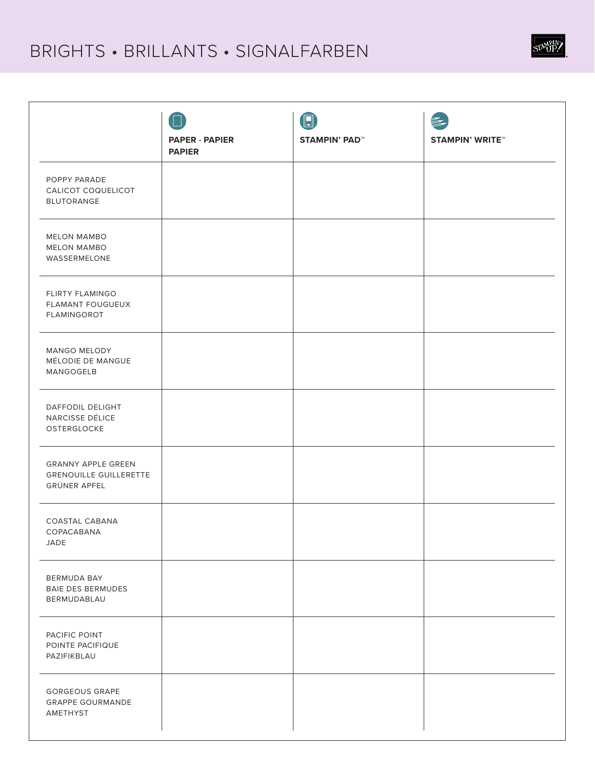## BRIGHTS • BRILLANTS • SIGNALFARBEN

|                                                                                   | <b>PAPER · PAPIER</b><br><b>PAPIER</b> | $\begin{smallmatrix} \boxed{1} \end{smallmatrix}$<br><b>STAMPIN' PAD™</b> | <b>STAMPIN' WRITE™</b> |
|-----------------------------------------------------------------------------------|----------------------------------------|---------------------------------------------------------------------------|------------------------|
| POPPY PARADE<br>CALICOT COQUELICOT<br><b>BLUTORANGE</b>                           |                                        |                                                                           |                        |
| <b>MELON MAMBO</b><br><b>MELON MAMBO</b><br>WASSERMELONE                          |                                        |                                                                           |                        |
| FLIRTY FLAMINGO<br><b>FLAMANT FOUGUEUX</b><br>FLAMINGOROT                         |                                        |                                                                           |                        |
| MANGO MELODY<br>MÉLODIE DE MANGUE<br>MANGOGELB                                    |                                        |                                                                           |                        |
| DAFFODIL DELIGHT<br>NARCISSE DÉLICE<br>OSTERGLOCKE                                |                                        |                                                                           |                        |
| <b>GRANNY APPLE GREEN</b><br><b>GRENOUILLE GUILLERETTE</b><br><b>GRÜNER APFEL</b> |                                        |                                                                           |                        |
| COASTAL CABANA<br>COPACABANA<br>JADE                                              |                                        |                                                                           |                        |
| BERMUDA BAY<br><b>BAIE DES BERMUDES</b><br>BERMUDABLAU                            |                                        |                                                                           |                        |
| PACIFIC POINT<br>POINTE PACIFIQUE<br>PAZIFIKBLAU                                  |                                        |                                                                           |                        |
| <b>GORGEOUS GRAPE</b><br><b>GRAPPE GOURMANDE</b><br>AMETHYST                      |                                        |                                                                           |                        |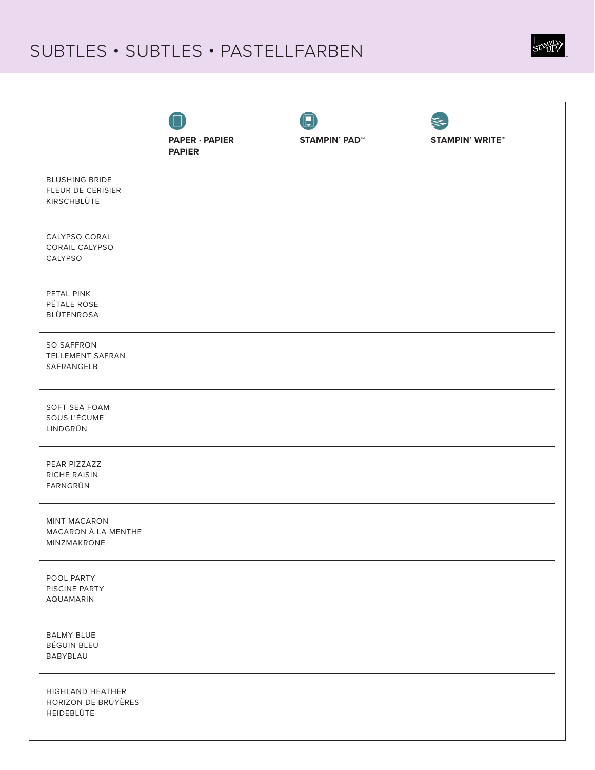## SUBTLES · SUBTLES · PASTELLFARBEN

|                                                           | <b>PAPER · PAPIER</b><br><b>PAPIER</b> | $\boxed{1}$<br><b>STAMPIN' PAD™</b> | <b>STAMPIN' WRITE™</b> |
|-----------------------------------------------------------|----------------------------------------|-------------------------------------|------------------------|
| <b>BLUSHING BRIDE</b><br>FLEUR DE CERISIER<br>KIRSCHBLÜTE |                                        |                                     |                        |
| CALYPSO CORAL<br>CORAIL CALYPSO<br>CALYPSO                |                                        |                                     |                        |
| PETAL PINK<br>PÉTALE ROSE<br>BLÜTENROSA                   |                                        |                                     |                        |
| <b>SO SAFFRON</b><br>TELLEMENT SAFRAN<br>SAFRANGELB       |                                        |                                     |                        |
| SOFT SEA FOAM<br>SOUS L'ÉCUME<br>LINDGRÜN                 |                                        |                                     |                        |
| PEAR PIZZAZZ<br>RICHE RAISIN<br>FARNGRÜN                  |                                        |                                     |                        |
| <b>MINT MACARON</b><br>MACARON À LA MENTHE<br>MINZMAKRONE |                                        |                                     |                        |
| POOL PARTY<br>PISCINE PARTY<br><b>AQUAMARIN</b>           |                                        |                                     |                        |
| <b>BALMY BLUE</b><br>BÉGUIN BLEU<br>BABYBLAU              |                                        |                                     |                        |
| HIGHLAND HEATHER<br>HORIZON DE BRUYÈRES<br>HEIDEBLÜTE     |                                        |                                     |                        |

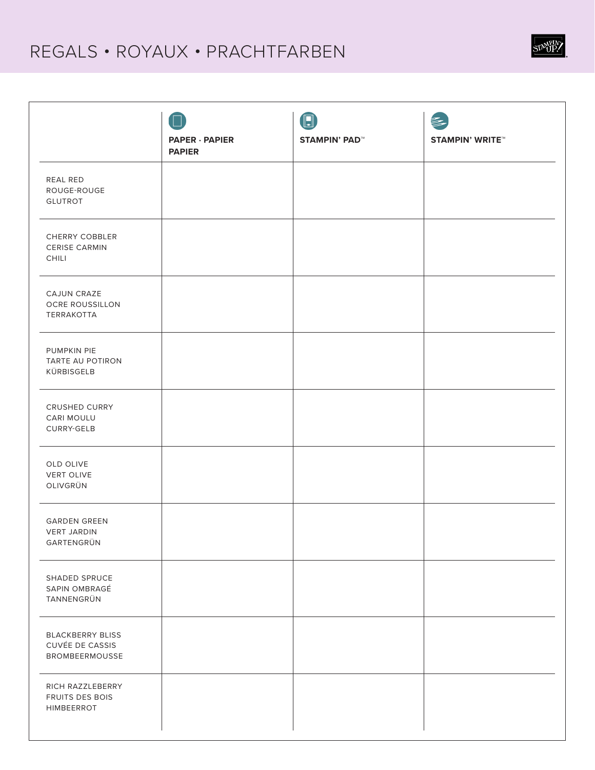#### REGALS • ROYAUX • PRACHTFARBEN

|                                                                            |                                        | $\textcolor{red}{\blacksquare}$ | 彡                      |
|----------------------------------------------------------------------------|----------------------------------------|---------------------------------|------------------------|
|                                                                            | <b>PAPER · PAPIER</b><br><b>PAPIER</b> | <b>STAMPIN' PAD™</b>            | <b>STAMPIN' WRITE™</b> |
| REAL RED<br>ROUGE-ROUGE<br><b>GLUTROT</b>                                  |                                        |                                 |                        |
| CHERRY COBBLER<br><b>CERISE CARMIN</b><br><b>CHILI</b>                     |                                        |                                 |                        |
| CAJUN CRAZE<br>OCRE ROUSSILLON<br>TERRAKOTTA                               |                                        |                                 |                        |
| PUMPKIN PIE<br>TARTE AU POTIRON<br>KÜRBISGELB                              |                                        |                                 |                        |
| CRUSHED CURRY<br>CARI MOULU<br><b>CURRY-GELB</b>                           |                                        |                                 |                        |
| OLD OLIVE<br><b>VERT OLIVE</b><br>OLIVGRÜN                                 |                                        |                                 |                        |
| <b>GARDEN GREEN</b><br><b>VERT JARDIN</b><br>GARTENGRÜN                    |                                        |                                 |                        |
| SHADED SPRUCE<br>SAPIN OMBRAGÉ<br>TANNENGRÜN                               |                                        |                                 |                        |
| <b>BLACKBERRY BLISS</b><br><b>CUVÉE DE CASSIS</b><br><b>BROMBEERMOUSSE</b> |                                        |                                 |                        |
| RICH RAZZLEBERRY<br>FRUITS DES BOIS<br>HIMBEERROT                          |                                        |                                 |                        |

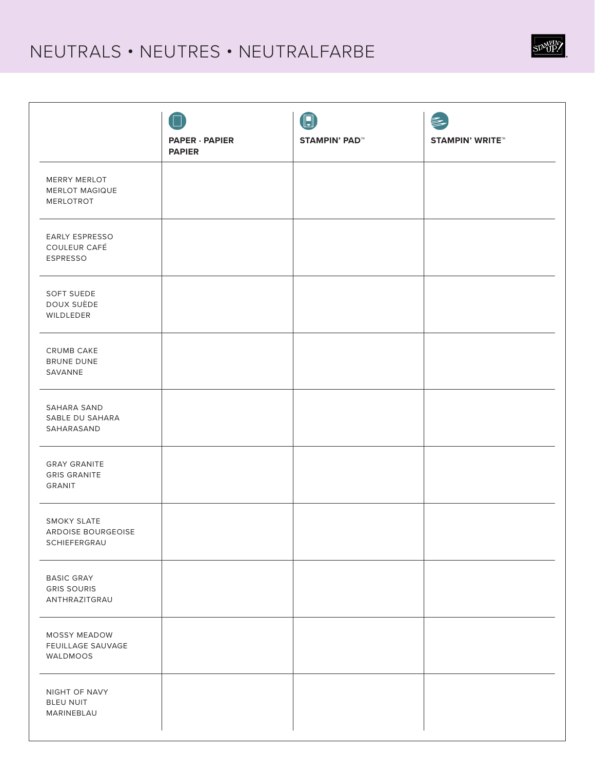## NEUTRALS • NEUTRES • NEUTRALFARBE

|                                                          | <b>PAPER · PAPIER</b><br><b>PAPIER</b> | $\begin{bmatrix} \blacksquare \end{bmatrix}$<br><b>STAMPIN' PAD™</b> | <b>STAMPIN' WRITE™</b> |
|----------------------------------------------------------|----------------------------------------|----------------------------------------------------------------------|------------------------|
| MERRY MERLOT<br><b>MERLOT MAGIQUE</b><br>MERLOTROT       |                                        |                                                                      |                        |
| EARLY ESPRESSO<br>COULEUR CAFÉ<br>ESPRESSO               |                                        |                                                                      |                        |
| SOFT SUEDE<br>DOUX SUÈDE<br>WILDLEDER                    |                                        |                                                                      |                        |
| CRUMB CAKE<br><b>BRUNE DUNE</b><br>SAVANNE               |                                        |                                                                      |                        |
| SAHARA SAND<br>SABLE DU SAHARA<br>SAHARASAND             |                                        |                                                                      |                        |
| <b>GRAY GRANITE</b><br><b>GRIS GRANITE</b><br>GRANIT     |                                        |                                                                      |                        |
| <b>SMOKY SLATE</b><br>ARDOISE BOURGEOISE<br>SCHIEFERGRAU |                                        |                                                                      |                        |
| <b>BASIC GRAY</b><br><b>GRIS SOURIS</b><br>ANTHRAZITGRAU |                                        |                                                                      |                        |
| MOSSY MEADOW<br>FEUILLAGE SAUVAGE<br>WALDMOOS            |                                        |                                                                      |                        |
| NIGHT OF NAVY<br><b>BLEU NUIT</b><br>MARINEBLAU          |                                        |                                                                      |                        |